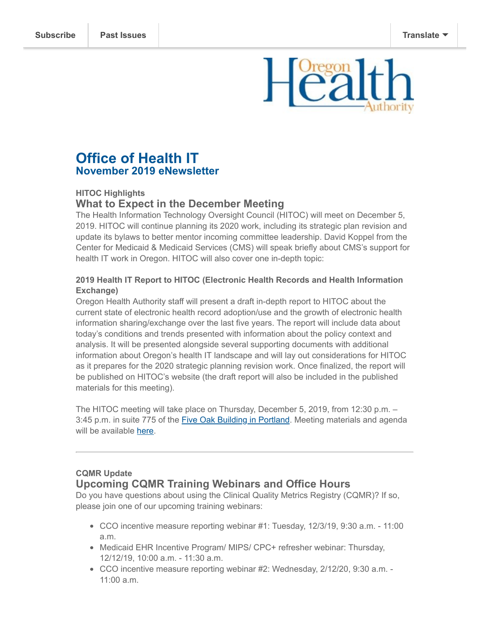# **Office of Health IT November 2019 eNewsletter**

## **HITOC Highlights**

# **What to Expect in the December Meeting**

The Health Information Technology Oversight Council (HITOC) will meet on December 5, 2019. HITOC will continue planning its 2020 work, including its strategic plan revision and update its bylaws to better mentor incoming committee leadership. David Koppel from the Center for Medicaid & Medicaid Services (CMS) will speak briefly about CMS's support for health IT work in Oregon. HITOC will also cover one in-depth topic:

#### **2019 Health IT Report to HITOC (Electronic Health Records and Health Information Exchange)**

Oregon Health Authority staff will present a draft in-depth report to HITOC about the current state of electronic health record adoption/use and the growth of electronic health information sharing/exchange over the last five years. The report will include data about today's conditions and trends presented with information about the policy context and analysis. It will be presented alongside several supporting documents with additional information about Oregon's health IT landscape and will lay out considerations for HITOC as it prepares for the 2020 strategic planning revision work. Once finalized, the report will be published on HITOC's website (the draft report will also be included in the published materials for this meeting).

The HITOC meeting will take place on Thursday, December 5, 2019, from 12:30 p.m. – 3:45 p.m. in suite 775 of the **Five Oak Building in Portland**. Meeting materials and agenda will be available [here](https://www.oregon.gov/oha/HPA/OHIT-HITOC/Pages/HITOC-Meetings.aspx).

## **CQMR Update Upcoming CQMR Training Webinars and Office Hours**

Do you have questions about using the Clinical Quality Metrics Registry (CQMR)? If so, please join one of our upcoming training webinars:

- CCO incentive measure reporting webinar #1: Tuesday, 12/3/19, 9:30 a.m. 11:00 a.m.
- Medicaid EHR Incentive Program/ MIPS/ CPC+ refresher webinar: Thursday, 12/12/19, 10:00 a.m. - 11:30 a.m.
- CCO incentive measure reporting webinar #2: Wednesday, 2/12/20, 9:30 a.m. 11:00 a.m.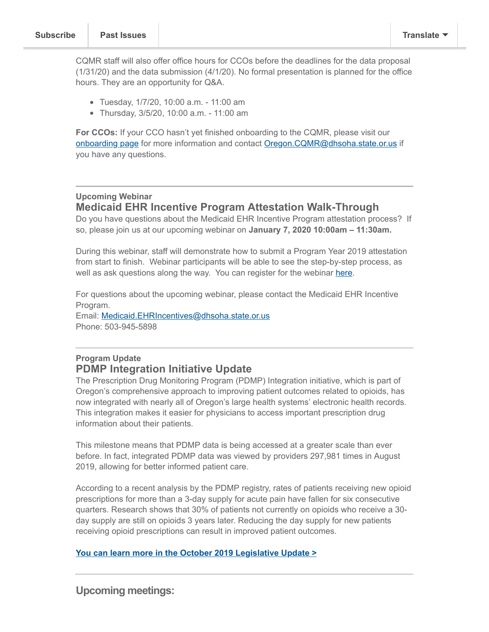CQMR staff will also offer office hours for CCOs before the deadlines for the data proposal (1/31/20) and the data submission (4/1/20). No formal presentation is planned for the office hours. They are an opportunity for Q&A.

- Tuesday, 1/7/20, 10:00 a.m. 11:00 am
- Thursday, 3/5/20, 10:00 a.m. 11:00 am

**For CCOs:** If your CCO hasn't yet finished onboarding to the CQMR, please visit our [onboarding page](https://www.oregon.gov/oha/HPA/OHIT/Pages/CQMR-Onboarding.aspx) for more information and contact [Oregon.CQMR@dhsoha.state.or.us](mailto:Oregon.CQMR@dhsoha.state.or.us) if you have any questions.

#### **Upcoming Webinar Medicaid EHR Incentive Program Attestation Walk-Through**

Do you have questions about the Medicaid EHR Incentive Program attestation process? If so, please join us at our upcoming webinar on **January 7, 2020 10:00am – 11:30am.**

During this webinar, staff will demonstrate how to submit a Program Year 2019 attestation from start to finish. Webinar participants will be able to see the step-by-step process, as well as ask questions along the way. You can register for the webinar [here.](https://attendee.gotowebinar.com/register/2508580162226156813)

For questions about the upcoming webinar, please contact the Medicaid EHR Incentive Program.

Email: [Medicaid.EHRIncentives@dhsoha.state.or.us](mailto:Medicaid.EHRIncentives@dhsoha.state.or.us) Phone: 503-945-5898

# **Program Update PDMP Integration Initiative Update**

The Prescription Drug Monitoring Program (PDMP) Integration initiative, which is part of Oregon's comprehensive approach to improving patient outcomes related to opioids, has now integrated with nearly all of Oregon's large health systems' electronic health records. This integration makes it easier for physicians to access important prescription drug information about their patients.

This milestone means that PDMP data is being accessed at a greater scale than ever before. In fact, integrated PDMP data was viewed by providers 297,981 times in August 2019, allowing for better informed patient care.

According to a recent analysis by the PDMP registry, rates of patients receiving new opioid prescriptions for more than a 3-day supply for acute pain have fallen for six consecutive quarters. Research shows that 30% of patients not currently on opioids who receive a 30 day supply are still on opioids 3 years later. Reducing the day supply for new patients receiving opioid prescriptions can result in improved patient outcomes.

#### **[You can learn more in the October 2019 Legislative Update >](http://www.orhealthleadershipcouncil.org/wp-content/uploads/2019/10/PDMPIntegrationUpdate_October2019.pdf)**